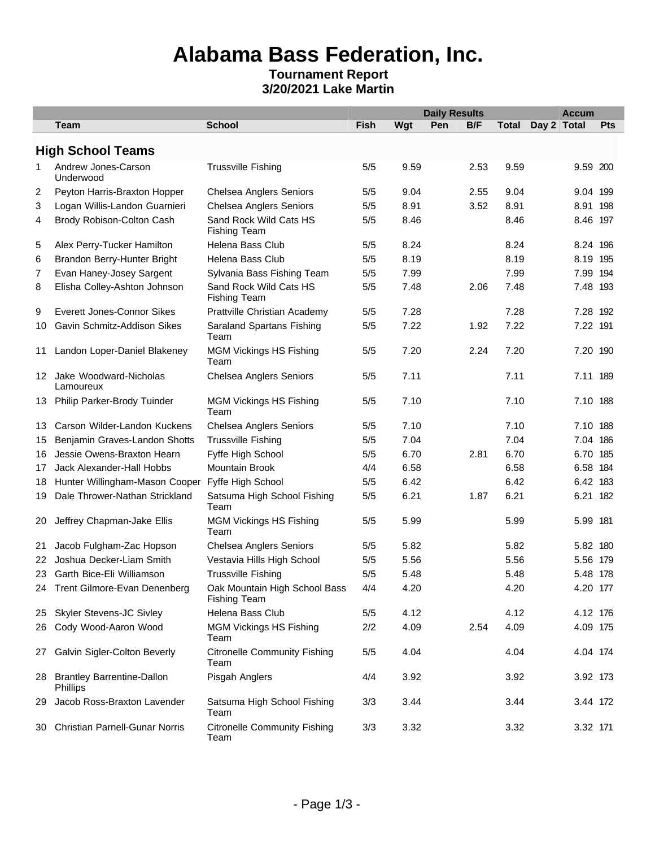## **Alabama Bass Federation, Inc.**

### **Tournament Report 3/20/2021 Lake Martin**

|     |                                                  |                                                      |             |      | <b>Daily Results</b> |      |              | <b>Accum</b> |     |  |
|-----|--------------------------------------------------|------------------------------------------------------|-------------|------|----------------------|------|--------------|--------------|-----|--|
|     | <b>Team</b>                                      | <b>School</b>                                        | <b>Fish</b> | Wgt  | Pen                  | B/F  | <b>Total</b> | Day 2 Total  | Pts |  |
|     | <b>High School Teams</b>                         |                                                      |             |      |                      |      |              |              |     |  |
| 1   | Andrew Jones-Carson<br>Underwood                 | <b>Trussville Fishing</b>                            | 5/5         | 9.59 |                      | 2.53 | 9.59         | 9.59 200     |     |  |
| 2   | Peyton Harris-Braxton Hopper                     | <b>Chelsea Anglers Seniors</b>                       | 5/5         | 9.04 |                      | 2.55 | 9.04         | 9.04 199     |     |  |
| 3   | Logan Willis-Landon Guarnieri                    | <b>Chelsea Anglers Seniors</b>                       | 5/5         | 8.91 |                      | 3.52 | 8.91         | 8.91 198     |     |  |
| 4   | Brody Robison-Colton Cash                        | Sand Rock Wild Cats HS<br><b>Fishing Team</b>        | 5/5         | 8.46 |                      |      | 8.46         | 8.46 197     |     |  |
| 5   | Alex Perry-Tucker Hamilton                       | Helena Bass Club                                     | 5/5         | 8.24 |                      |      | 8.24         | 8.24 196     |     |  |
| 6   | Brandon Berry-Hunter Bright                      | Helena Bass Club                                     | 5/5         | 8.19 |                      |      | 8.19         | 8.19 195     |     |  |
| 7   | Evan Haney-Josey Sargent                         | Sylvania Bass Fishing Team                           | 5/5         | 7.99 |                      |      | 7.99         | 7.99 194     |     |  |
| 8   | Elisha Colley-Ashton Johnson                     | Sand Rock Wild Cats HS<br><b>Fishing Team</b>        | 5/5         | 7.48 |                      | 2.06 | 7.48         | 7.48 193     |     |  |
| 9   | <b>Everett Jones-Connor Sikes</b>                | Prattville Christian Academy                         | 5/5         | 7.28 |                      |      | 7.28         | 7.28 192     |     |  |
| 10  | Gavin Schmitz-Addison Sikes                      | <b>Saraland Spartans Fishing</b><br>Team             | 5/5         | 7.22 |                      | 1.92 | 7.22         | 7.22 191     |     |  |
| 11  | Landon Loper-Daniel Blakeney                     | <b>MGM Vickings HS Fishing</b><br>Team               | 5/5         | 7.20 |                      | 2.24 | 7.20         | 7.20 190     |     |  |
| 12  | Jake Woodward-Nicholas<br>Lamoureux              | <b>Chelsea Anglers Seniors</b>                       | 5/5         | 7.11 |                      |      | 7.11         | 7.11 189     |     |  |
|     | 13 Philip Parker-Brody Tuinder                   | <b>MGM Vickings HS Fishing</b><br>Team               | 5/5         | 7.10 |                      |      | 7.10         | 7.10 188     |     |  |
| 13  | Carson Wilder-Landon Kuckens                     | <b>Chelsea Anglers Seniors</b>                       | 5/5         | 7.10 |                      |      | 7.10         | 7.10 188     |     |  |
| 15  | Benjamin Graves-Landon Shotts                    | <b>Trussville Fishing</b>                            | 5/5         | 7.04 |                      |      | 7.04         | 7.04 186     |     |  |
| 16  | Jessie Owens-Braxton Hearn                       | Fyffe High School                                    | 5/5         | 6.70 |                      | 2.81 | 6.70         | 6.70 185     |     |  |
| 17  | Jack Alexander-Hall Hobbs                        | Mountain Brook                                       | 4/4         | 6.58 |                      |      | 6.58         | 6.58 184     |     |  |
| 18  | Hunter Willingham-Mason Cooper Fyffe High School |                                                      | 5/5         | 6.42 |                      |      | 6.42         | 6.42 183     |     |  |
| 19  | Dale Thrower-Nathan Strickland                   | Satsuma High School Fishing<br>Team                  | 5/5         | 6.21 |                      | 1.87 | 6.21         | 6.21 182     |     |  |
| 20  | Jeffrey Chapman-Jake Ellis                       | <b>MGM Vickings HS Fishing</b><br>Team               | 5/5         | 5.99 |                      |      | 5.99         | 5.99 181     |     |  |
| 21  | Jacob Fulgham-Zac Hopson                         | <b>Chelsea Anglers Seniors</b>                       | 5/5         | 5.82 |                      |      | 5.82         | 5.82 180     |     |  |
| 22  | Joshua Decker-Liam Smith                         | Vestavia Hills High School                           | 5/5         | 5.56 |                      |      | 5.56         | 5.56 179     |     |  |
|     | 23 Garth Bice-Eli Williamson                     | <b>Trussville Fishing</b>                            | 5/5         | 5.48 |                      |      | 5.48         | 5.48 178     |     |  |
|     | 24 Trent Gilmore-Evan Denenberg                  | Oak Mountain High School Bass<br><b>Fishing Team</b> | 4/4         | 4.20 |                      |      | 4.20         | 4.20 177     |     |  |
|     | 25 Skyler Stevens-JC Sivley                      | Helena Bass Club                                     | 5/5         | 4.12 |                      |      | 4.12         | 4.12 176     |     |  |
|     | 26 Cody Wood-Aaron Wood                          | <b>MGM Vickings HS Fishing</b><br>Team               | 2/2         | 4.09 |                      | 2.54 | 4.09         | 4.09 175     |     |  |
| 27  | Galvin Sigler-Colton Beverly                     | <b>Citronelle Community Fishing</b><br>Team          | 5/5         | 4.04 |                      |      | 4.04         | 4.04 174     |     |  |
| 28  | <b>Brantley Barrentine-Dallon</b><br>Phillips    | Pisgah Anglers                                       | 4/4         | 3.92 |                      |      | 3.92         | 3.92 173     |     |  |
| 29  | Jacob Ross-Braxton Lavender                      | Satsuma High School Fishing<br>Team                  | 3/3         | 3.44 |                      |      | 3.44         | 3.44 172     |     |  |
| 30- | <b>Christian Parnell-Gunar Norris</b>            | <b>Citronelle Community Fishing</b><br>Team          | 3/3         | 3.32 |                      |      | 3.32         | 3.32 171     |     |  |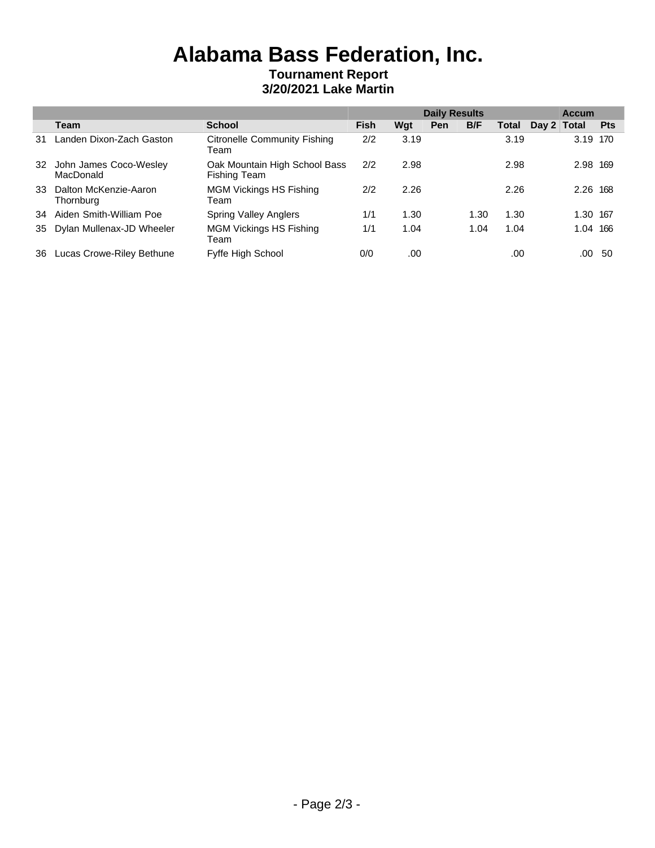### **Alabama Bass Federation, Inc. Tournament Report**

## **3/20/2021 Lake Martin**

|    |                                       |                                               |             | <b>Daily Results</b> |     |      |       | <b>Accum</b> |          |            |
|----|---------------------------------------|-----------------------------------------------|-------------|----------------------|-----|------|-------|--------------|----------|------------|
|    | Team                                  | <b>School</b>                                 | <b>Fish</b> | Wgt                  | Pen | B/F  | Total | Day 2 Total  |          | <b>Pts</b> |
| 31 | Landen Dixon-Zach Gaston              | Citronelle Community Fishing<br>Team          | 2/2         | 3.19                 |     |      | 3.19  |              | 3.19 170 |            |
| 32 | John James Coco-Wesley<br>MacDonald   | Oak Mountain High School Bass<br>Fishing Team | 2/2         | 2.98                 |     |      | 2.98  |              | 2.98 169 |            |
|    | 33 Dalton McKenzie-Aaron<br>Thornburg | <b>MGM Vickings HS Fishing</b><br>Team        | 2/2         | 2.26                 |     |      | 2.26  |              | 2.26 168 |            |
|    | 34 Aiden Smith-William Poe            | <b>Spring Valley Anglers</b>                  | 1/1         | 1.30                 |     | 1.30 | 1.30  |              | 1.30 167 |            |
|    | 35 Dylan Mullenax-JD Wheeler          | <b>MGM Vickings HS Fishing</b><br>Team        | 1/1         | 1.04                 |     | 1.04 | 1.04  |              | 1.04 166 |            |
|    | 36 Lucas Crowe-Riley Bethune          | Fyffe High School                             | 0/0         | .00                  |     |      | .00   |              | .00      | -50        |